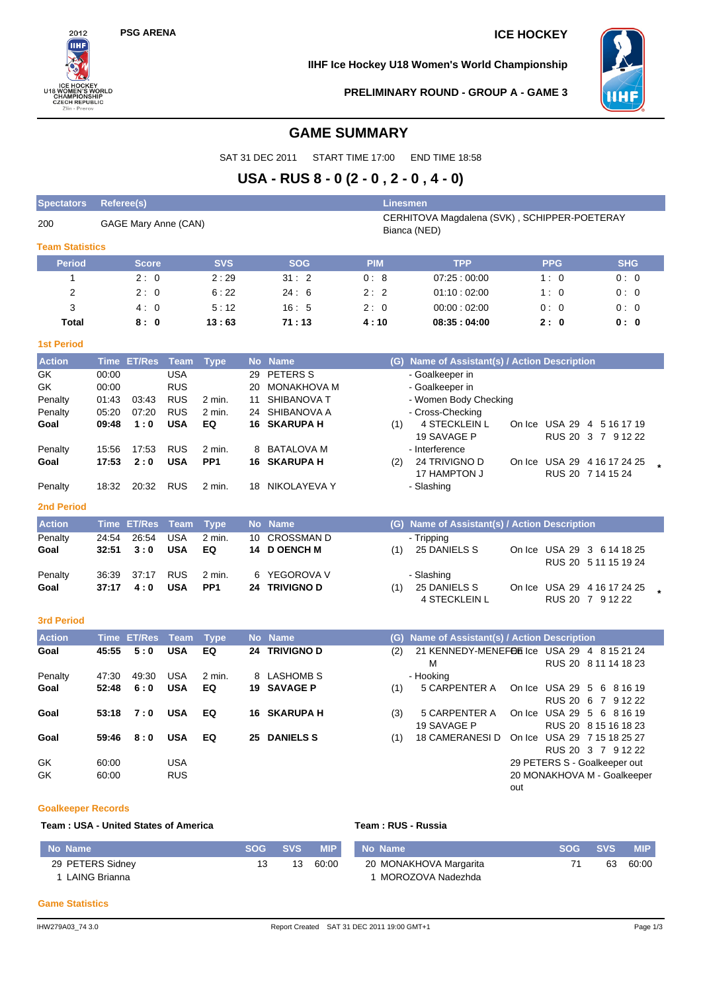# **PSG ARENA ICE HOCKEY**



**IIHF Ice Hockey U18 Women's World Championship**



**PRELIMINARY ROUND - GROUP A - GAME 3**

# **GAME SUMMARY**

SAT 31 DEC 2011 START TIME 17:00 END TIME 18:58

# **USA - RUS 8 - 0 (2 - 0 , 2 - 0 , 4 - 0)**

| <b>Spectators</b>      | Referee(s)     |                      |                          |                 |          |                                   |            | <b>Linesmen</b>                                              |     |               |                                                    |  |
|------------------------|----------------|----------------------|--------------------------|-----------------|----------|-----------------------------------|------------|--------------------------------------------------------------|-----|---------------|----------------------------------------------------|--|
| 200                    |                | GAGE Mary Anne (CAN) |                          |                 |          |                                   |            | CERHITOVA Magdalena (SVK), SCHIPPER-POETERAY<br>Bianca (NED) |     |               |                                                    |  |
| <b>Team Statistics</b> |                |                      |                          |                 |          |                                   |            |                                                              |     |               |                                                    |  |
| <b>Period</b>          |                | <b>Score</b>         |                          | <b>SVS</b>      |          | <b>SOG</b>                        | <b>PIM</b> | <b>TPP</b>                                                   |     | <b>PPG</b>    | <b>SHG</b>                                         |  |
| $\mathbf{1}$           |                | 2:0                  |                          | 2:29            |          | 31:2                              | 0:8        | 07:25:00:00                                                  |     | 1:0           | 0:0                                                |  |
| 2                      |                | 2:0                  |                          | 6:22            |          | 24:6                              | 2:2        | 01:10:02:00                                                  |     | 1:0           | 0:0                                                |  |
| 3                      |                | 4:0                  |                          | 5:12            |          | 16:5                              | 2:0        | 00:00:02:00                                                  |     | 0:0           | 0:0                                                |  |
| Total                  |                | 8:0                  |                          | 13:63           |          | 71:13                             | 4:10       | 08:35:04:00                                                  |     | 2:0           | 0:0                                                |  |
| <b>1st Period</b>      |                |                      |                          |                 |          |                                   |            |                                                              |     |               |                                                    |  |
| <b>Action</b>          |                | Time ET/Res          | <b>Team</b>              | <b>Type</b>     |          | No Name                           |            | (G) Name of Assistant(s) / Action Description                |     |               |                                                    |  |
| GK                     | 00:00          |                      | <b>USA</b>               |                 | 29       | PETERS S                          |            | - Goalkeeper in                                              |     |               |                                                    |  |
| GK                     | 00:00          | 03:43                | <b>RUS</b><br><b>RUS</b> | 2 min.          | 20<br>11 | <b>MONAKHOVA M</b><br>SHIBANOVA T |            | - Goalkeeper in                                              |     |               |                                                    |  |
| Penalty<br>Penalty     | 01:43<br>05:20 | 07:20                | <b>RUS</b>               | 2 min.          | 24       | SHIBANOVA A                       |            | - Women Body Checking<br>- Cross-Checking                    |     |               |                                                    |  |
| Goal                   | 09:48          | 1:0                  | <b>USA</b>               | EQ              |          | 16 SKARUPA H                      | (1)        | 4 STECKLEIN L                                                |     |               | On Ice USA 29 4 5 16 17 19                         |  |
|                        |                |                      |                          |                 |          |                                   |            | 19 SAVAGE P                                                  |     |               | RUS 20 3 7 9 12 22                                 |  |
| Penalty                | 15:56          | 17:53                | <b>RUS</b>               | 2 min.          | 8        | <b>BATALOVA M</b>                 |            | - Interference                                               |     |               |                                                    |  |
| Goal                   | 17:53          | 2:0                  | <b>USA</b>               | PP <sub>1</sub> |          | 16 SKARUPA H                      | (2)        | 24 TRIVIGNO D                                                |     |               | On Ice USA 29 4 16 17 24 25                        |  |
|                        |                |                      |                          |                 |          |                                   |            | 17 HAMPTON J                                                 |     |               | RUS 20 7 14 15 24                                  |  |
| Penalty                | 18:32          | 20:32                | <b>RUS</b>               | 2 min.          |          | 18 NIKOLAYEVA Y                   |            | - Slashing                                                   |     |               |                                                    |  |
| <b>2nd Period</b>      |                |                      |                          |                 |          |                                   |            |                                                              |     |               |                                                    |  |
| <b>Action</b>          |                | <b>Time ET/Res</b>   | <b>Team</b>              | <b>Type</b>     |          | No Name                           |            | (G) Name of Assistant(s) / Action Description                |     |               |                                                    |  |
| Penalty                | 24:54          | 26:54                | <b>USA</b>               | $2$ min.        | 10       | <b>CROSSMAN D</b>                 |            | - Tripping                                                   |     |               |                                                    |  |
| Goal                   | 32:51          | 3:0                  | <b>USA</b>               | EQ              |          | 14 D OENCH M                      | (1)        | 25 DANIELS S                                                 |     |               | On Ice USA 29 3 6 14 18 25                         |  |
|                        |                | 37:17                | <b>RUS</b>               | 2 min.          | 6        | YEGOROVA V                        |            |                                                              |     |               | RUS 20 5 11 15 19 24                               |  |
| Penalty<br>Goal        | 36:39<br>37:17 | 4:0                  | <b>USA</b>               | PP <sub>1</sub> |          | 24 TRIVIGNO D                     | (1)        | - Slashing<br>25 DANIELS S                                   |     |               | On Ice USA 29 4 16 17 24 25                        |  |
|                        |                |                      |                          |                 |          |                                   |            | 4 STECKLEIN L                                                |     |               | RUS 20 7 9 12 22                                   |  |
|                        |                |                      |                          |                 |          |                                   |            |                                                              |     |               |                                                    |  |
| <b>3rd Period</b>      |                |                      |                          |                 |          |                                   |            |                                                              |     |               |                                                    |  |
| <b>Action</b>          |                | <b>Time ET/Res</b>   | <b>Team</b>              | <b>Type</b>     |          | No Name                           |            | (G) Name of Assistant(s) / Action Description                |     |               |                                                    |  |
| Goal                   | 45:55          | 5:0                  | <b>USA</b>               | EQ              |          | 24 TRIVIGNO D                     | (2)        | 21 KENNEDY-MENEFOR Ice USA 29 4 8 15 21 24<br>M              |     |               | RUS 20 8 11 14 18 23                               |  |
| Penalty                | 47:30          | 49:30                | <b>USA</b>               | 2 min.          | 8        | <b>LASHOMB S</b>                  |            | - Hooking                                                    |     |               |                                                    |  |
| Goal                   | 52:48          | 6:0                  | <b>USA</b>               | EQ              |          | <b>19 SAVAGE P</b>                | (1)        | 5 CARPENTER A                                                |     | On Ice USA 29 | - 5<br>6 8 16 19                                   |  |
|                        |                |                      |                          |                 |          |                                   |            |                                                              |     |               | RUS 20 6 7 9 12 22                                 |  |
| Goal                   | 53:18          | 7:0                  | <b>USA</b>               | EQ              |          | <b>16 SKARUPA H</b>               | (3)        | 5 CARPENTER A                                                |     |               | On Ice USA 29 5 6 8 16 19                          |  |
|                        |                |                      |                          |                 |          |                                   |            | 19 SAVAGE P                                                  |     |               | RUS 20 8 15 16 18 23                               |  |
| Goal                   | 59:46          | 8:0                  | <b>USA</b>               | EQ              |          | 25 DANIELS S                      | (1)        | <b>18 CAMERANESI D</b>                                       |     |               | On Ice USA 29 7 15 18 25 27                        |  |
| GK                     | 60:00          |                      | <b>USA</b>               |                 |          |                                   |            |                                                              |     |               | RUS 20 3 7 9 12 22<br>29 PETERS S - Goalkeeper out |  |
| GK                     | 60:00          |                      | <b>RUS</b>               |                 |          |                                   |            |                                                              |     |               | 20 MONAKHOVA M - Goalkeeper                        |  |
|                        |                |                      |                          |                 |          |                                   |            |                                                              | out |               |                                                    |  |
|                        |                |                      |                          |                 |          |                                   |            |                                                              |     |               |                                                    |  |

#### **Goalkeeper Records**

**Team : USA - United States of America Team : RUS - Russia**

| No Name          | SOG SVS |    | <b>MIP</b> | No Name                | <b>SOG SVS</b> |    | <b>MIP</b> |
|------------------|---------|----|------------|------------------------|----------------|----|------------|
| 29 PETERS Sidney |         | 13 | 60.00      | 20 MONAKHOVA Margarita |                | 63 | 60:00      |
| LAING Brianna    |         |    |            | MOROZOVA Nadezhda      |                |    |            |

#### **Game Statistics**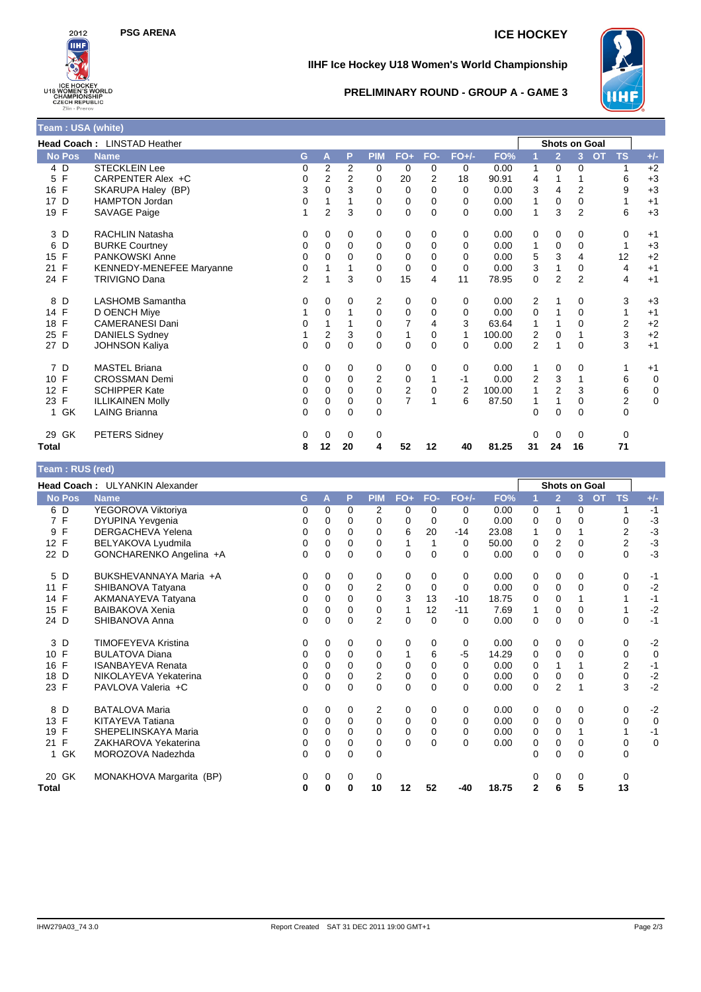# **PSG ARENA ICE HOCKEY**



**Team : USA (white)**

## **IIHF Ice Hockey U18 Women's World Championship**



#### **PRELIMINARY ROUND - GROUP A - GAME 3**

| <u> Thomas a chuid ann an t-Iomraidh ann an t-Iomraidh ann an t-Iomraidh ann an t-Iomraidh ann an t-Iomraidh ann an t-Iomraidh ann an t-Iomraidh ann an t-Iomraidh ann an t-Iomraidh ann an t-Iomraidh ann an t-Iomraidh ann an </u> |                                 |                |                |          |            |                |                |          |        |                |                |                |                         |       |
|--------------------------------------------------------------------------------------------------------------------------------------------------------------------------------------------------------------------------------------|---------------------------------|----------------|----------------|----------|------------|----------------|----------------|----------|--------|----------------|----------------|----------------|-------------------------|-------|
|                                                                                                                                                                                                                                      | Head Coach: LINSTAD Heather     |                |                |          |            |                |                |          |        |                | Shots on Goal  |                |                         |       |
| <b>No Pos</b>                                                                                                                                                                                                                        | <b>Name</b>                     | G              | А              | P        | <b>PIM</b> | FO+            | FO-            | $FO+/-$  | FO%    |                | $\overline{2}$ | 3              | <b>OT</b><br><b>TS</b>  | $+/-$ |
| 4 D                                                                                                                                                                                                                                  | <b>STECKLEIN Lee</b>            | 0              | 2              | 2        | 0          | 0              | 0              | 0        | 0.00   | 1              | 0              | 0              | 1                       | $+2$  |
| F<br>5                                                                                                                                                                                                                               | CARPENTER Alex +C               | 0              | 2              | 2        | 0          | 20             | $\overline{2}$ | 18       | 90.91  | 4              |                |                | 6                       | $+3$  |
| 16 F                                                                                                                                                                                                                                 | SKARUPA Haley (BP)              | 3              | $\Omega$       | 3        | 0          | 0              | $\Omega$       | 0        | 0.00   | 3              | 4              | $\overline{2}$ | 9                       | $+3$  |
| D<br>17                                                                                                                                                                                                                              | <b>HAMPTON Jordan</b>           | 0              |                | 1        | $\Omega$   | $\mathbf 0$    | $\Omega$       | $\Omega$ | 0.00   | 1              | $\mathbf 0$    | $\Omega$       | 1                       | $+1$  |
| 19 F                                                                                                                                                                                                                                 | SAVAGE Paige                    | 1              | $\overline{2}$ | 3        | $\Omega$   | $\mathbf 0$    | $\Omega$       | $\Omega$ | 0.00   | 1              | 3              | $\overline{2}$ | 6                       | $+3$  |
| 3 D                                                                                                                                                                                                                                  | <b>RACHLIN Natasha</b>          | 0              | 0              | 0        | 0          | 0              | 0              | 0        | 0.00   | 0              | 0              | 0              | 0                       | $+1$  |
| 6<br>D                                                                                                                                                                                                                               | <b>BURKE Courtney</b>           | 0              | 0              | $\Omega$ | 0          | 0              | $\Omega$       | $\Omega$ | 0.00   | 1              | 0              | 0              | 1                       | $+3$  |
| $\mathsf{F}$<br>15                                                                                                                                                                                                                   | <b>PANKOWSKI Anne</b>           | 0              | 0              | $\Omega$ | 0          | 0              | 0              | 0        | 0.00   | 5              | 3              | 4              | 12                      | $+2$  |
| 21 F                                                                                                                                                                                                                                 | <b>KENNEDY-MENEFEE Maryanne</b> | 0              |                |          | $\Omega$   | $\mathbf 0$    | $\Omega$       | $\Omega$ | 0.00   | 3              |                | $\Omega$       | 4                       | $+1$  |
| 24 F                                                                                                                                                                                                                                 | <b>TRIVIGNO Dana</b>            | $\overline{2}$ |                | 3        | $\Omega$   | 15             | 4              | 11       | 78.95  | $\mathbf 0$    | $\overline{2}$ | $\overline{2}$ | 4                       | $+1$  |
| 8 D                                                                                                                                                                                                                                  | <b>LASHOMB Samantha</b>         | 0              | 0              | 0        | 2          | 0              | 0              | 0        | 0.00   | 2              |                | 0              | 3                       | $+3$  |
| 14 F                                                                                                                                                                                                                                 | D OENCH Miye                    | 1              | 0              | 1        | $\Omega$   | $\mathbf 0$    | 0              | 0        | 0.00   | 0              |                | $\Omega$       | 1                       | $+1$  |
| $\mathsf{F}$<br>18                                                                                                                                                                                                                   | <b>CAMERANESI Dani</b>          | 0              |                |          | 0          | $\overline{7}$ | 4              | 3        | 63.64  | 1              |                | 0              | $\overline{2}$          | $+2$  |
| $\mathsf{F}$<br>25                                                                                                                                                                                                                   | DANIELS Sydney                  |                | 2              | 3        | 0          | 1              | 0              | 1        | 100.00 | 2              | 0              |                | 3                       | $+2$  |
| 27 D                                                                                                                                                                                                                                 | <b>JOHNSON Kaliya</b>           | 0              | 0              | 0        | 0          | 0              | $\Omega$       | $\Omega$ | 0.00   | 2              |                | 0              | 3                       | $+1$  |
| 7<br>D                                                                                                                                                                                                                               | <b>MASTEL Briana</b>            | 0              | 0              | 0        | 0          | 0              | 0              | 0        | 0.00   | 1              | 0              | 0              | 1                       | $+1$  |
| 10 F                                                                                                                                                                                                                                 | <b>CROSSMAN Demi</b>            | 0              | $\Omega$       | 0        | 2          | 0              | 1              | $-1$     | 0.00   | $\overline{2}$ | 3              |                | 6                       | 0     |
| 12 F                                                                                                                                                                                                                                 | <b>SCHIPPER Kate</b>            | 0              | $\Omega$       | 0        | $\Omega$   | $\overline{2}$ | 0              | 2        | 100.00 | 1              | $\overline{2}$ | 3              | 6                       | 0     |
| 23 F                                                                                                                                                                                                                                 | <b>ILLIKAINEN Molly</b>         | 0              | $\Omega$       | $\Omega$ | $\Omega$   | $\overline{7}$ | 1              | 6        | 87.50  |                |                | $\Omega$       | $\overline{\mathbf{c}}$ | 0     |
| 1 GK                                                                                                                                                                                                                                 | <b>LAING Brianna</b>            | 0              | 0              | 0        | $\Omega$   |                |                |          |        | $\Omega$       | 0              | 0              | 0                       |       |
| GK<br>29                                                                                                                                                                                                                             | <b>PETERS Sidney</b>            | 0              | 0              | 0        | 0          |                |                |          |        | 0              | 0              | 0              | 0                       |       |
| Total                                                                                                                                                                                                                                |                                 | 8              | 12             | 20       | 4          | 52             | 12             | 40       | 81.25  | 31             | 24             | 16             | 71                      |       |

### **Team : RUS (red)**

|                      | Head Coach: ULYANKIN Alexander |          |          |          |                |             |          |          |       |              |                | Shots on Goal |                        |             |
|----------------------|--------------------------------|----------|----------|----------|----------------|-------------|----------|----------|-------|--------------|----------------|---------------|------------------------|-------------|
| <b>No Pos</b>        | <b>Name</b>                    | G        | А        | P        | <b>PIM</b>     | FO+         | FO-      | $FO+/-$  | FO%   |              | $\overline{2}$ | 3             | <b>OT</b><br><b>TS</b> | $+/-$       |
| 6 D                  | YEGOROVA Viktoriya             | 0        | $\Omega$ | 0        | 2              | 0           | $\Omega$ | 0        | 0.00  | 0            | 1              | 0             | 1                      | $-1$        |
| 7 F                  | DYUPINA Yevgenia               | 0        | $\Omega$ | 0        | 0              | $\Omega$    | $\Omega$ | $\Omega$ | 0.00  | 0            | $\Omega$       | 0             | $\Omega$               | $-3$        |
| F<br>9               | <b>DERGACHEVA Yelena</b>       | 0        | 0        | 0        | 0              | 6           | 20       | $-14$    | 23.08 | 1            | 0              |               | $\overline{2}$         | $-3$        |
| 12 F                 | BELYAKOVA Lyudmila             | 0        | $\Omega$ | 0        | 0              |             |          | $\Omega$ | 50.00 | 0            | $\overline{2}$ | $\Omega$      | $\overline{2}$         | $-3$        |
| 22 D                 | GONCHARENKO Angelina +A        | 0        | $\Omega$ | $\Omega$ | $\Omega$       | $\Omega$    | $\Omega$ | $\Omega$ | 0.00  | 0            | 0              | $\Omega$      | $\Omega$               | $-3$        |
| 5 D                  | BUKSHEVANNAYA Maria +A         | 0        | 0        | 0        | 0              | 0           | $\Omega$ | 0        | 0.00  | 0            | 0              | 0             | 0                      | -1          |
| F<br>11              | SHIBANOVA Tatyana              | 0        | 0        | 0        | 2              | 0           | 0        | 0        | 0.00  | 0            | 0              | 0             | 0                      | $-2$        |
| F<br>14              | AKMANAYEVA Tatyana             | 0        | $\Omega$ | 0        | $\Omega$       | 3           | 13       | $-10$    | 18.75 | 0            | $\Omega$       |               |                        | $-1$        |
| 15<br>F              | <b>BAIBAKOVA Xenia</b>         | 0        | $\Omega$ | $\Omega$ | $\mathbf 0$    | 1           | 12       | $-11$    | 7.69  | $\mathbf{1}$ | $\mathbf 0$    | $\Omega$      |                        | $-2$        |
| 24 D                 | SHIBANOVA Anna                 | 0        | $\Omega$ | 0        | $\overline{2}$ | $\mathbf 0$ | $\Omega$ | $\Omega$ | 0.00  | 0            | 0              | $\Omega$      | $\Omega$               | $-1$        |
| 3<br>D               | <b>TIMOFEYEVA Kristina</b>     | 0        | 0        | 0        | 0              | 0           | 0        | 0        | 0.00  | 0            | 0              | 0             | 0                      | $-2$        |
| F<br>10 <sup>1</sup> | <b>BULATOVA Diana</b>          | 0        | 0        | $\Omega$ | 0              |             | 6        | $-5$     | 14.29 | 0            | $\mathbf 0$    | 0             | 0                      | $\mathbf 0$ |
| F<br>16              | <b>ISANBAYEVA Renata</b>       | 0        | $\Omega$ | 0        | 0              | 0           | $\Omega$ | $\Omega$ | 0.00  | 0            |                |               | 2                      | $-1$        |
| D<br>18              | NIKOLAYEVA Yekaterina          | 0        | $\Omega$ | 0        | 2              | 0           | $\Omega$ | $\Omega$ | 0.00  | 0            | 0              | 0             | 0                      | $-2$        |
| F<br>23              | PAVLOVA Valeria +C             | 0        | $\Omega$ | $\Omega$ | $\Omega$       | $\Omega$    | $\Omega$ | $\Omega$ | 0.00  | 0            | 2              |               | 3                      | $-2$        |
| D<br>8               | <b>BATALOVA Maria</b>          | 0        | 0        | 0        | 2              | 0           | 0        | 0        | 0.00  | 0            | 0              | 0             | 0                      | $-2$        |
| F<br>13              | <b>KITAYEVA Tatiana</b>        | $\Omega$ | $\Omega$ | $\Omega$ | $\Omega$       | 0           | $\Omega$ | $\Omega$ | 0.00  | 0            | 0              | $\Omega$      | $\Omega$               | $\mathbf 0$ |
| F<br>19              | SHEPELINSKAYA Maria            | 0        | $\Omega$ | 0        | 0              | 0           | 0        | 0        | 0.00  | 0            | 0              |               |                        | $-1$        |
| F<br>21              | ZAKHAROVA Yekaterina           | 0        | $\Omega$ | 0        | 0              | $\Omega$    | $\Omega$ | $\Omega$ | 0.00  | 0            | 0              | 0             | 0                      | $\mathbf 0$ |
| GK<br>1.             | MOROZOVA Nadezhda              | 0        | $\Omega$ | $\Omega$ | $\Omega$       |             |          |          |       | 0            | $\Omega$       | 0             | $\Omega$               |             |
| 20 GK                | MONAKHOVA Margarita (BP)       | 0        | 0        | 0        | 0              |             |          |          |       | 0            | 0              | 0             | $\Omega$               |             |
| <b>Total</b>         |                                | 0        | 0        | 0        | 10             | 12          | 52       | -40      | 18.75 | $\mathbf{2}$ | 6              | 5             | 13                     |             |